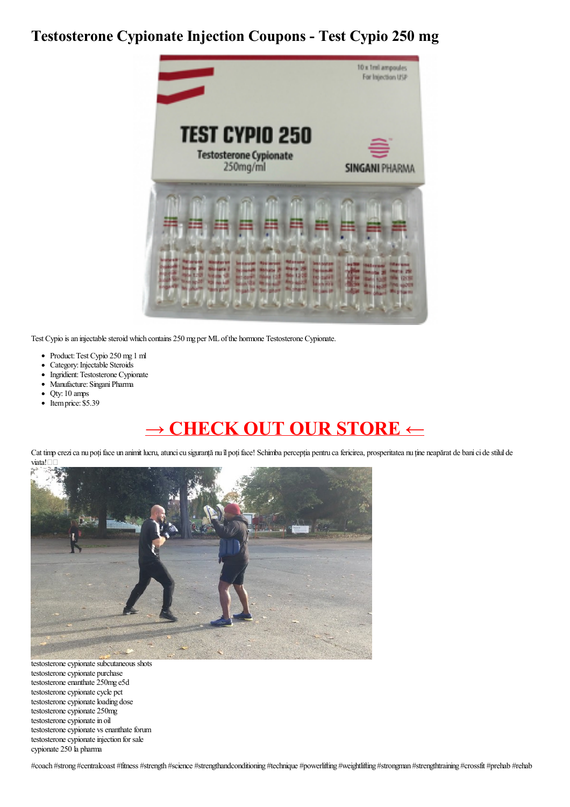## **Testosterone Cypionate Injection Coupons - Test Cypio 250 mg**



Test Cypio is an injectable steroid which contains 250 mg per ML of the hormone Testosterone Cypionate.

- Product:Test Cypio 250 mg 1 ml
- Category: Injectable Steroids  $\bullet$
- Ingridient: Testosterone Cypionate  $\bullet$
- Manufacture: Singani Pharma
- Qty: 10 amps  $\bullet$
- $\bullet$  Itemprice: \$5.39

## **→ [CHECK](https://t.co/x68VyjFNys) OUT OUR STORE ←**

Cat timp crezi ca nu poți face un animit lucru, atunci cu siguranță nu îl poți face! Schimba percepția pentru ca fericirea, prosperitatea nu ține neapărat de bani ci de stilul de viata!



testosterone cypionate subcutaneous shots testosterone cypionate purchase testosterone enanthate 250mg e5d testosterone cypionate cycle pct testosterone cypionate loading dose testosterone cypionate 250mg testosterone cypionate in oil testosterone cypionate vs enanthate forum testosterone cypionate injection for sale cypionate 250 la pharma

#coach #strong #centralcoast #fitness #strength #science #strengthandconditioning #technique #powerlifting #weightlifting #strongman #strengthtraining #crossfit #prehab #rehab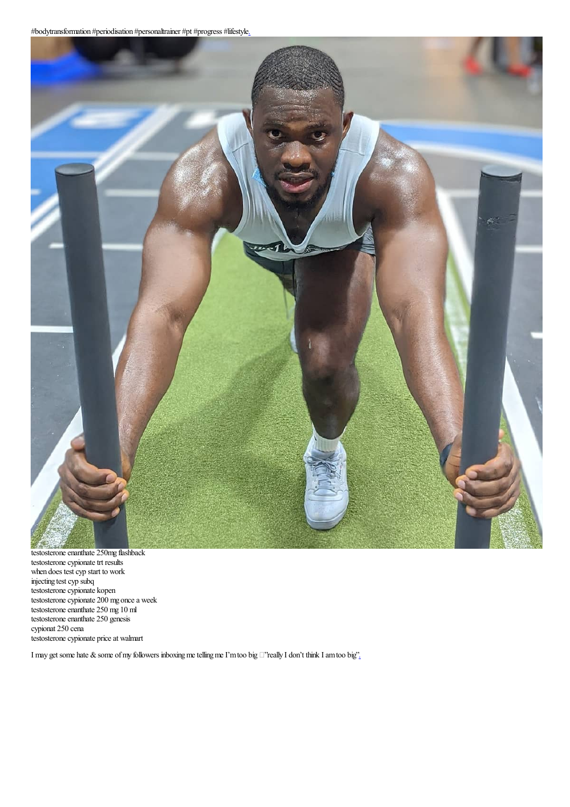

testosterone enanthate 250mg flashback testosterone cypionate trt results when does test cyp start to work injecting test cyp subq testosterone cypionate kopen testosterone cypionate 200 mg once a week testosterone enanthate 250 mg 10 ml testosterone enanthate 250 genesis cypionat 250 cena testosterone cypionate price at walmart

I may get some hate & some of my followers inboxing me telling me I'm too big  $\Box$  really I don't think I am too big'.